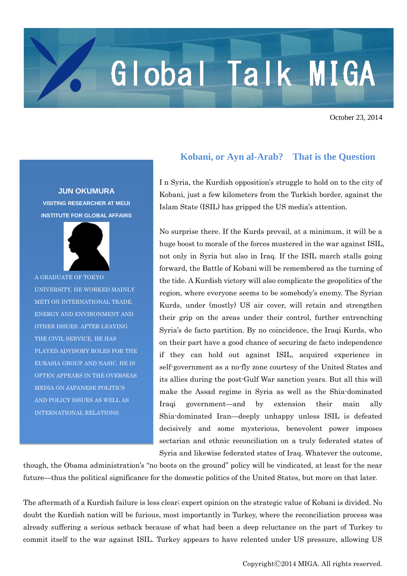## Global Talk MIGA

October 23, 2014

**JUN OKUMURA VISITING RESEARCHER AT MEIJI INSTITUTE FOR GLOBAL AFFAIRS**



A GRADUATE OF TOKYO UNIVERSITY, HE WORKED MAINLY METI ON INTERNATIONAL TRADE, ENERGY AND ENVIRONMENT AND OTHER ISSUES. AFTER LEAVING THE CIVIL SERVICE, HE HAS PLAYED ADVISORY ROLES FOR THE EURASIA GROUP AND NASIC. HE IS OFTEN APPEARS IN THE OVERSEAS MEDIA ON JAPANESE POLITICS AND POLICY ISSUES AS WELL AS INTERNATIONAL RELATIONS.

## **Kobani, or Ayn al-Arab? That is the Question**

I n Syria, the Kurdish opposition's struggle to hold on to the city of Kobani, just a few kilometers from the Turkish border, against the Islam State (ISIL) has gripped the US media's attention.

No surprise there. If the Kurds prevail, at a minimum, it will be a huge boost to morale of the forces mustered in the war against ISIL, not only in Syria but also in Iraq. If the ISIL march stalls going forward, the Battle of Kobani will be remembered as the turning of the tide. A Kurdish victory will also complicate the geopolitics of the region, where everyone seems to be somebody's enemy. The Syrian Kurds, under (mostly) US air cover, will retain and strengthen their grip on the areas under their control, further entrenching Syria's de facto partition. By no coincidence, the Iraqi Kurds, who on their part have a good chance of securing de facto independence if they can hold out against ISIL, acquired experience in self-government as a no-fly zone courtesy of the United States and its allies during the post-Gulf War sanction years. But all this will make the Assad regime in Syria as well as the Shia-dominated Iraqi government—and by extension their main ally Shia-dominated Iran—deeply unhappy unless ISIL is defeated decisively and some mysterious, benevolent power imposes sectarian and ethnic reconciliation on a truly federated states of Syria and likewise federated states of Iraq. Whatever the outcome,

though, the Obama administration's "no boots on the ground" policy will be vindicated, at least for the near future—thus the political significance for the domestic politics of the United States, but more on that later.

The aftermath of a Kurdish failure is less clear; expert opinion on the strategic value of Kobani is divided. No doubt the Kurdish nation will be furious, most importantly in Turkey, where the reconciliation process was already suffering a serious setback because of what had been a deep reluctance on the part of Turkey to commit itself to the war against ISIL. Turkey appears to have relented under US pressure, allowing US